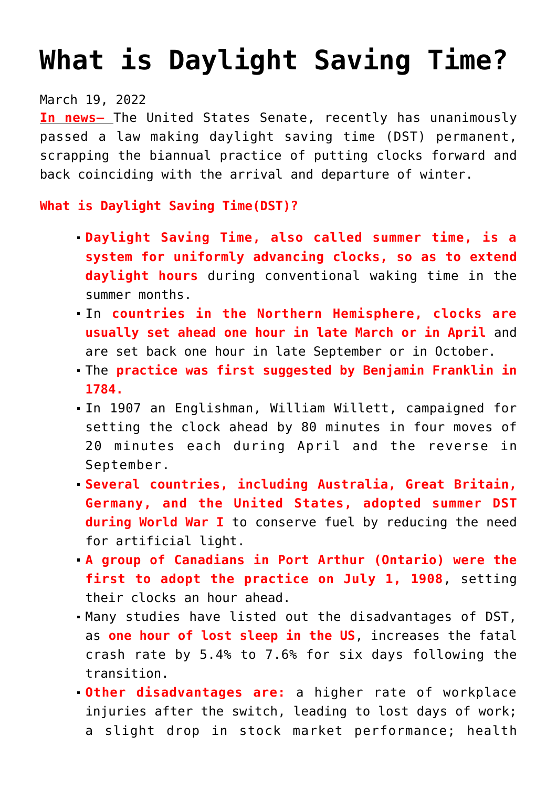# **[What is Daylight Saving Time?](https://journalsofindia.com/what-is-daylight-saving-time/)**

## March 19, 2022

**In news–** The United States Senate, recently has unanimously passed a law making daylight saving time (DST) permanent, scrapping the biannual practice of putting clocks forward and back coinciding with the arrival and departure of winter.

## **What is Daylight Saving Time(DST)?**

- **Daylight Saving Time, also called summer time, is a system for uniformly advancing clocks, so as to extend daylight hours** during conventional waking time in the summer months.
- In **countries in the Northern Hemisphere, clocks are usually set ahead one hour in late March or in April** and are set back one hour in late September or in October.
- The **practice was first suggested by Benjamin Franklin in 1784.**
- In 1907 an Englishman, William Willett, campaigned for setting the clock ahead by 80 minutes in four moves of 20 minutes each during April and the reverse in September.
- **Several countries, including Australia, Great Britain, Germany, and the United States, adopted summer DST during World War I** to conserve fuel by reducing the need for artificial light.
- **A group of Canadians in Port Arthur (Ontario) were the first to adopt the practice on July 1, 1908**, setting their clocks an hour ahead.
- Many studies have listed out the disadvantages of DST, as **one hour of lost sleep in the US**, increases the fatal crash rate by 5.4% to 7.6% for six days following the transition.
- **Other disadvantages are:** a higher rate of workplace injuries after the switch, leading to lost days of work; a slight drop in stock market performance; health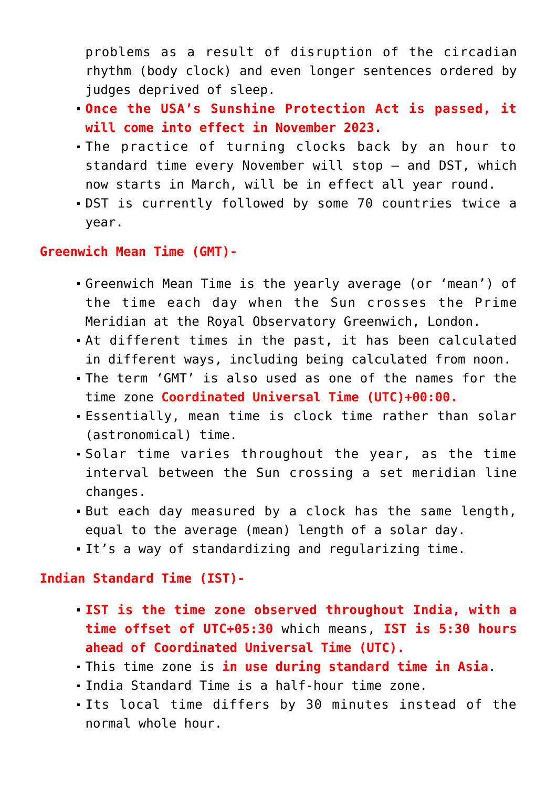problems as a result of disruption of the circadian rhythm (body clock) and even longer sentences ordered by judges deprived of sleep.

- **Once the USA's Sunshine Protection Act is passed, it will come into effect in November 2023.**
- The practice of turning clocks back by an hour to standard time every November will stop — and DST, which now starts in March, will be in effect all year round.
- DST is currently followed by some 70 countries twice a year.

### **Greenwich Mean Time (GMT)-**

- Greenwich Mean Time is the yearly average (or 'mean') of the time each day when the Sun crosses the Prime Meridian at the Royal Observatory Greenwich, London.
- At different times in the past, it has been calculated in different ways, including being calculated from noon.
- The term 'GMT' is also used as one of the names for the time zone **Coordinated Universal Time (UTC)+00:00.**
- Essentially, mean time is clock time rather than solar (astronomical) time.
- Solar time varies throughout the year, as the time interval between the Sun crossing a set meridian line changes.
- But each day measured by a clock has the same length, equal to the average (mean) length of a solar day.
- It's a way of standardizing and regularizing time.

#### **Indian Standard Time (IST)-**

- **IST is the time zone observed throughout India, with a time offset of UTC+05:30** which means, **IST is 5:30 hours ahead of Coordinated Universal Time (UTC).**
- This time zone is **in use during standard time in Asia**.
- India Standard Time is a half-hour time zone.
- Its local time differs by 30 minutes instead of the normal whole hour.